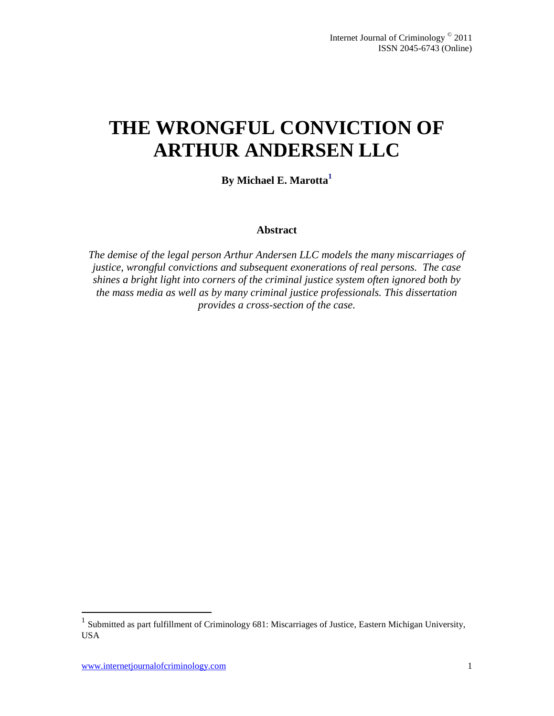# **THE WRONGFUL CONVICTION OF ARTHUR ANDERSEN LLC**

**By Michael E. Marotta<sup>1</sup>**

#### **Abstract**

*The demise of the legal person Arthur Andersen LLC models the many miscarriages of justice, wrongful convictions and subsequent exonerations of real persons. The case shines a bright light into corners of the criminal justice system often ignored both by the mass media as well as by many criminal justice professionals. This dissertation provides a cross-section of the case.*

 1 Submitted as part fulfillment of Criminology 681: Miscarriages of Justice, Eastern Michigan University, USA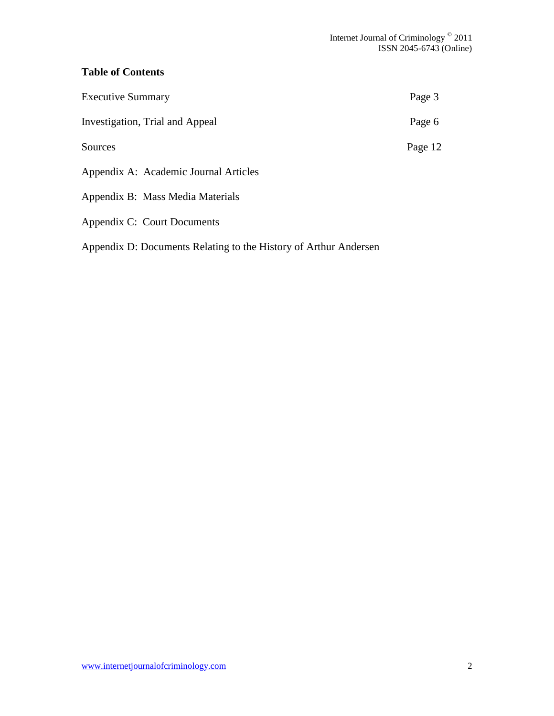## **Table of Contents**

| <b>Executive Summary</b>              | Page 3  |
|---------------------------------------|---------|
| Investigation, Trial and Appeal       | Page 6  |
| Sources                               | Page 12 |
| Appendix A: Academic Journal Articles |         |
| Appendix B: Mass Media Materials      |         |
| Appendix C: Court Documents           |         |

Appendix D: Documents Relating to the History of Arthur Andersen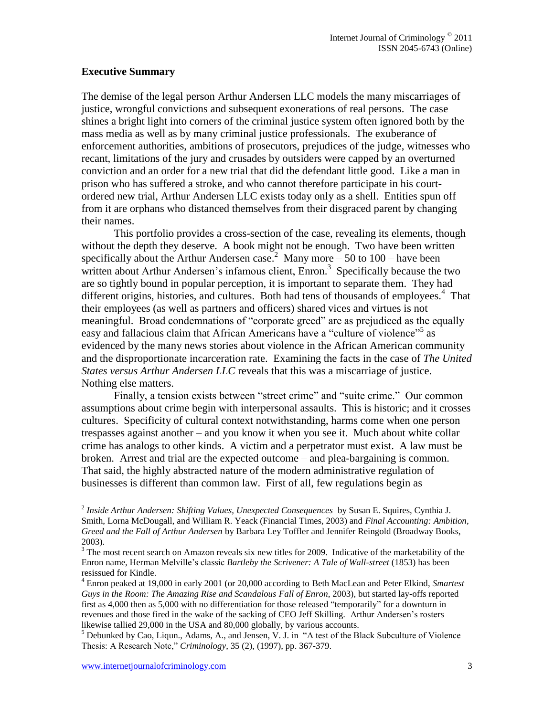## **Executive Summary**

The demise of the legal person Arthur Andersen LLC models the many miscarriages of justice, wrongful convictions and subsequent exonerations of real persons. The case shines a bright light into corners of the criminal justice system often ignored both by the mass media as well as by many criminal justice professionals. The exuberance of enforcement authorities, ambitions of prosecutors, prejudices of the judge, witnesses who recant, limitations of the jury and crusades by outsiders were capped by an overturned conviction and an order for a new trial that did the defendant little good. Like a man in prison who has suffered a stroke, and who cannot therefore participate in his courtordered new trial, Arthur Andersen LLC exists today only as a shell. Entities spun off from it are orphans who distanced themselves from their disgraced parent by changing their names.

This portfolio provides a cross-section of the case, revealing its elements, though without the depth they deserve. A book might not be enough. Two have been written specifically about the Arthur Andersen case.<sup>2</sup> Many more  $-50$  to 100 – have been written about Arthur Andersen's infamous client,  $\text{Enron.}^3$  Specifically because the two are so tightly bound in popular perception, it is important to separate them. They had different origins, histories, and cultures. Both had tens of thousands of employees.<sup>4</sup> That their employees (as well as partners and officers) shared vices and virtues is not meaningful. Broad condemnations of "corporate greed" are as prejudiced as the equally easy and fallacious claim that African Americans have a "culture of violence"<sup>5</sup> as evidenced by the many news stories about violence in the African American community and the disproportionate incarceration rate. Examining the facts in the case of *The United States versus Arthur Andersen LLC* reveals that this was a miscarriage of justice. Nothing else matters.

Finally, a tension exists between "street crime" and "suite crime." Our common assumptions about crime begin with interpersonal assaults. This is historic; and it crosses cultures. Specificity of cultural context notwithstanding, harms come when one person trespasses against another – and you know it when you see it. Much about white collar crime has analogs to other kinds. A victim and a perpetrator must exist. A law must be broken. Arrest and trial are the expected outcome – and plea-bargaining is common. That said, the highly abstracted nature of the modern administrative regulation of businesses is different than common law. First of all, few regulations begin as

<sup>2</sup> *Inside Arthur Andersen: Shifting Values, Unexpected Consequences* by Susan E. Squires, Cynthia J. Smith, Lorna McDougall, and William R. Yeack (Financial Times, 2003) and *Final Accounting: Ambition, Greed and the Fall of Arthur Andersen* by Barbara Ley Toffler and Jennifer Reingold (Broadway Books, 2003).

<sup>&</sup>lt;sup>3</sup> The most recent search on Amazon reveals six new titles for 2009. Indicative of the marketability of the Enron name, Herman Melville"s classic *Bartleby the Scrivener: A Tale of Wall-street* (1853) has been resissued for Kindle.

<sup>4</sup> Enron peaked at 19,000 in early 2001 (or 20,000 according to Beth MacLean and Peter Elkind, *Smartest Guys in the Room: The Amazing Rise and Scandalous Fall of Enron*, 2003), but started lay-offs reported first as 4,000 then as 5,000 with no differentiation for those released "temporarily" for a downturn in revenues and those fired in the wake of the sacking of CEO Jeff Skilling. Arthur Andersen"s rosters likewise tallied 29,000 in the USA and 80,000 globally, by various accounts.

<sup>5</sup> Debunked by Cao, Liqun., Adams, A., and Jensen, V. J. in "A test of the Black Subculture of Violence Thesis: A Research Note," *Criminology*, 35 (2), (1997), pp. 367-379.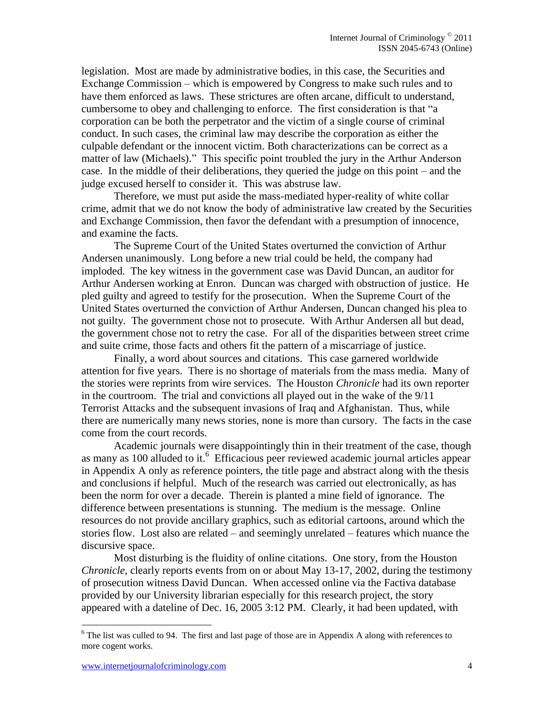legislation. Most are made by administrative bodies, in this case, the Securities and Exchange Commission – which is empowered by Congress to make such rules and to have them enforced as laws. These strictures are often arcane, difficult to understand, cumbersome to obey and challenging to enforce. The first consideration is that "a corporation can be both the perpetrator and the victim of a single course of criminal conduct. In such cases, the criminal law may describe the corporation as either the culpable defendant or the innocent victim. Both characterizations can be correct as a matter of law (Michaels)." This specific point troubled the jury in the Arthur Anderson case. In the middle of their deliberations, they queried the judge on this point – and the judge excused herself to consider it. This was abstruse law.

Therefore, we must put aside the mass-mediated hyper-reality of white collar crime, admit that we do not know the body of administrative law created by the Securities and Exchange Commission, then favor the defendant with a presumption of innocence, and examine the facts.

The Supreme Court of the United States overturned the conviction of Arthur Andersen unanimously. Long before a new trial could be held, the company had imploded. The key witness in the government case was David Duncan, an auditor for Arthur Andersen working at Enron. Duncan was charged with obstruction of justice. He pled guilty and agreed to testify for the prosecution. When the Supreme Court of the United States overturned the conviction of Arthur Andersen, Duncan changed his plea to not guilty. The government chose not to prosecute. With Arthur Andersen all but dead, the government chose not to retry the case. For all of the disparities between street crime and suite crime, those facts and others fit the pattern of a miscarriage of justice.

Finally, a word about sources and citations. This case garnered worldwide attention for five years. There is no shortage of materials from the mass media. Many of the stories were reprints from wire services. The Houston *Chronicle* had its own reporter in the courtroom. The trial and convictions all played out in the wake of the 9/11 Terrorist Attacks and the subsequent invasions of Iraq and Afghanistan. Thus, while there are numerically many news stories, none is more than cursory. The facts in the case come from the court records.

Academic journals were disappointingly thin in their treatment of the case, though as many as  $100$  alluded to it.<sup>6</sup> Efficacious peer reviewed academic journal articles appear in Appendix A only as reference pointers, the title page and abstract along with the thesis and conclusions if helpful. Much of the research was carried out electronically, as has been the norm for over a decade. Therein is planted a mine field of ignorance. The difference between presentations is stunning. The medium is the message. Online resources do not provide ancillary graphics, such as editorial cartoons, around which the stories flow. Lost also are related – and seemingly unrelated – features which nuance the discursive space.

Most disturbing is the fluidity of online citations. One story, from the Houston *Chronicle*, clearly reports events from on or about May 13-17, 2002, during the testimony of prosecution witness David Duncan. When accessed online via the Factiva database provided by our University librarian especially for this research project, the story appeared with a dateline of Dec. 16, 2005 3:12 PM. Clearly, it had been updated, with

<sup>&</sup>lt;sup>6</sup> The list was culled to 94. The first and last page of those are in Appendix A along with references to more cogent works.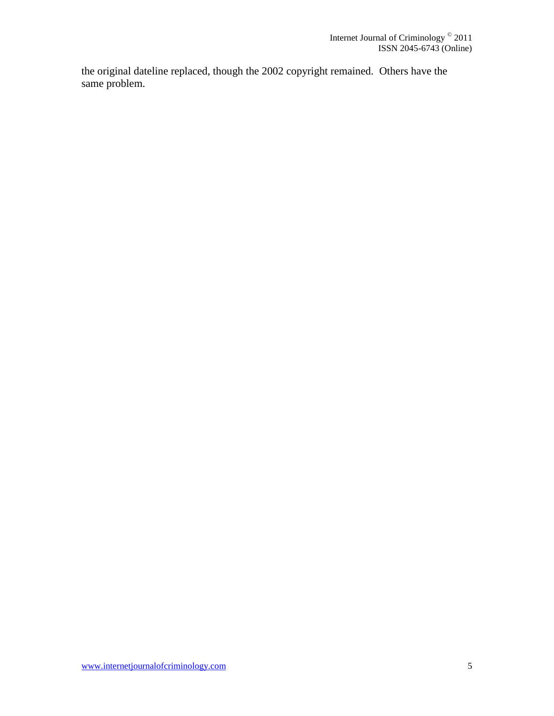the original dateline replaced, though the 2002 copyright remained. Others have the same problem.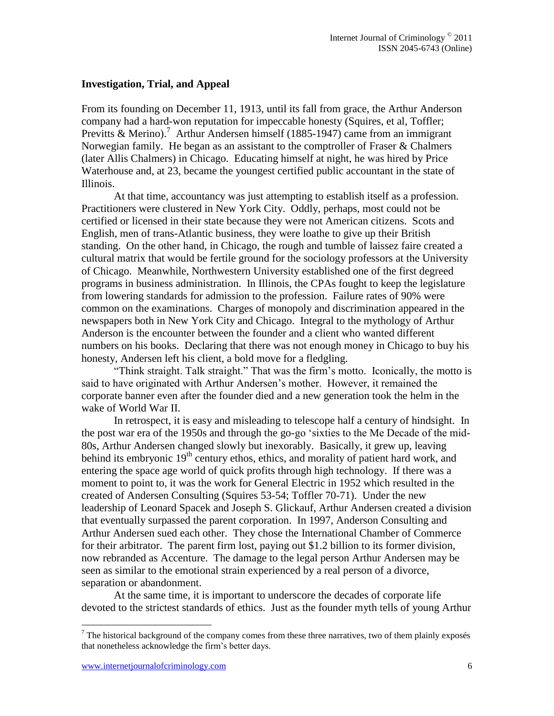### **Investigation, Trial, and Appeal**

From its founding on December 11, 1913, until its fall from grace, the Arthur Anderson company had a hard-won reputation for impeccable honesty (Squires, et al, Toffler; Previtts & Merino).<sup>7</sup> Arthur Andersen himself (1885-1947) came from an immigrant Norwegian family. He began as an assistant to the comptroller of Fraser & Chalmers (later Allis Chalmers) in Chicago. Educating himself at night, he was hired by Price Waterhouse and, at 23, became the youngest certified public accountant in the state of Illinois.

At that time, accountancy was just attempting to establish itself as a profession. Practitioners were clustered in New York City. Oddly, perhaps, most could not be certified or licensed in their state because they were not American citizens. Scots and English, men of trans-Atlantic business, they were loathe to give up their British standing. On the other hand, in Chicago, the rough and tumble of laissez faire created a cultural matrix that would be fertile ground for the sociology professors at the University of Chicago. Meanwhile, Northwestern University established one of the first degreed programs in business administration. In Illinois, the CPAs fought to keep the legislature from lowering standards for admission to the profession. Failure rates of 90% were common on the examinations. Charges of monopoly and discrimination appeared in the newspapers both in New York City and Chicago. Integral to the mythology of Arthur Anderson is the encounter between the founder and a client who wanted different numbers on his books. Declaring that there was not enough money in Chicago to buy his honesty, Andersen left his client, a bold move for a fledgling.

"Think straight. Talk straight." That was the firm"s motto. Iconically, the motto is said to have originated with Arthur Andersen's mother. However, it remained the corporate banner even after the founder died and a new generation took the helm in the wake of World War II.

In retrospect, it is easy and misleading to telescope half a century of hindsight. In the post war era of the 1950s and through the go-go "sixties to the Me Decade of the mid-80s, Arthur Andersen changed slowly but inexorably. Basically, it grew up, leaving behind its embryonic 19<sup>th</sup> century ethos, ethics, and morality of patient hard work, and entering the space age world of quick profits through high technology. If there was a moment to point to, it was the work for General Electric in 1952 which resulted in the created of Andersen Consulting (Squires 53-54; Toffler 70-71). Under the new leadership of Leonard Spacek and Joseph S. Glickauf, Arthur Andersen created a division that eventually surpassed the parent corporation. In 1997, Anderson Consulting and Arthur Andersen sued each other. They chose the International Chamber of Commerce for their arbitrator. The parent firm lost, paying out \$1.2 billion to its former division, now rebranded as Accenture. The damage to the legal person Arthur Andersen may be seen as similar to the emotional strain experienced by a real person of a divorce, separation or abandonment.

At the same time, it is important to underscore the decades of corporate life devoted to the strictest standards of ethics. Just as the founder myth tells of young Arthur

 $7$  The historical background of the company comes from these three narratives, two of them plainly exposés that nonetheless acknowledge the firm"s better days.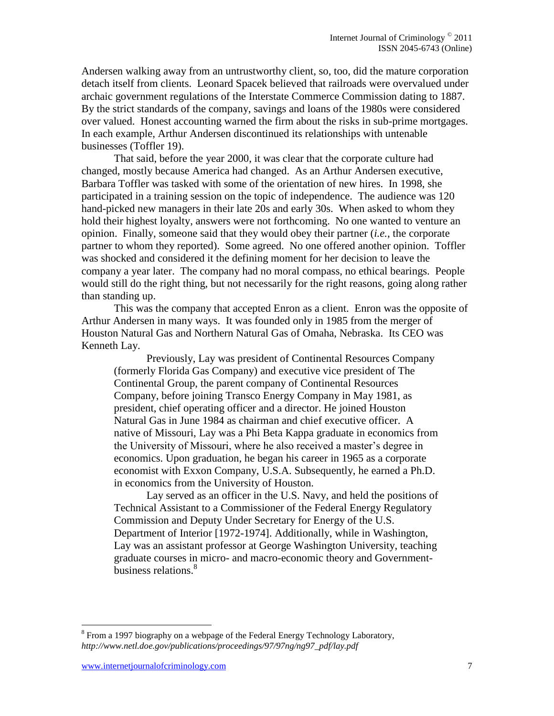Andersen walking away from an untrustworthy client, so, too, did the mature corporation detach itself from clients. Leonard Spacek believed that railroads were overvalued under archaic government regulations of the Interstate Commerce Commission dating to 1887. By the strict standards of the company, savings and loans of the 1980s were considered over valued. Honest accounting warned the firm about the risks in sub-prime mortgages. In each example, Arthur Andersen discontinued its relationships with untenable businesses (Toffler 19).

That said, before the year 2000, it was clear that the corporate culture had changed, mostly because America had changed. As an Arthur Andersen executive, Barbara Toffler was tasked with some of the orientation of new hires. In 1998, she participated in a training session on the topic of independence. The audience was 120 hand-picked new managers in their late 20s and early 30s. When asked to whom they hold their highest loyalty, answers were not forthcoming. No one wanted to venture an opinion. Finally, someone said that they would obey their partner (*i.e.*, the corporate partner to whom they reported). Some agreed. No one offered another opinion. Toffler was shocked and considered it the defining moment for her decision to leave the company a year later. The company had no moral compass, no ethical bearings. People would still do the right thing, but not necessarily for the right reasons, going along rather than standing up.

This was the company that accepted Enron as a client. Enron was the opposite of Arthur Andersen in many ways. It was founded only in 1985 from the merger of Houston Natural Gas and Northern Natural Gas of Omaha, Nebraska. Its CEO was Kenneth Lay.

Previously, Lay was president of Continental Resources Company (formerly Florida Gas Company) and executive vice president of The Continental Group, the parent company of Continental Resources Company, before joining Transco Energy Company in May 1981, as president, chief operating officer and a director. He joined Houston Natural Gas in June 1984 as chairman and chief executive officer. A native of Missouri, Lay was a Phi Beta Kappa graduate in economics from the University of Missouri, where he also received a master"s degree in economics. Upon graduation, he began his career in 1965 as a corporate economist with Exxon Company, U.S.A. Subsequently, he earned a Ph.D. in economics from the University of Houston.

Lay served as an officer in the U.S. Navy, and held the positions of Technical Assistant to a Commissioner of the Federal Energy Regulatory Commission and Deputy Under Secretary for Energy of the U.S. Department of Interior [1972-1974]. Additionally, while in Washington, Lay was an assistant professor at George Washington University, teaching graduate courses in micro- and macro-economic theory and Governmentbusiness relations.<sup>8</sup>

 $8$  From a 1997 biography on a webpage of the Federal Energy Technology Laboratory, *http://www.netl.doe.gov/publications/proceedings/97/97ng/ng97\_pdf/lay.pdf*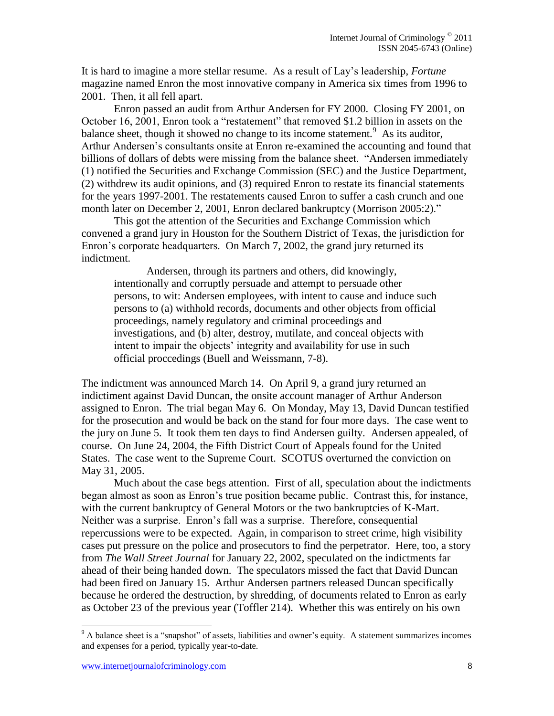It is hard to imagine a more stellar resume. As a result of Lay"s leadership, *Fortune* magazine named Enron the most innovative company in America six times from 1996 to 2001. Then, it all fell apart.

Enron passed an audit from Arthur Andersen for FY 2000. Closing FY 2001, on October 16, 2001, Enron took a "restatement" that removed \$1.2 billion in assets on the balance sheet, though it showed no change to its income statement.<sup>9</sup> As its auditor, Arthur Andersen"s consultants onsite at Enron re-examined the accounting and found that billions of dollars of debts were missing from the balance sheet. "Andersen immediately (1) notified the Securities and Exchange Commission (SEC) and the Justice Department, (2) withdrew its audit opinions, and (3) required Enron to restate its financial statements for the years 1997-2001. The restatements caused Enron to suffer a cash crunch and one month later on December 2, 2001, Enron declared bankruptcy (Morrison 2005:2)."

This got the attention of the Securities and Exchange Commission which convened a grand jury in Houston for the Southern District of Texas, the jurisdiction for Enron"s corporate headquarters. On March 7, 2002, the grand jury returned its indictment.

Andersen, through its partners and others, did knowingly, intentionally and corruptly persuade and attempt to persuade other persons, to wit: Andersen employees, with intent to cause and induce such persons to (a) withhold records, documents and other objects from official proceedings, namely regulatory and criminal proceedings and investigations, and (b) alter, destroy, mutilate, and conceal objects with intent to impair the objects' integrity and availability for use in such official proccedings (Buell and Weissmann, 7-8).

The indictment was announced March 14. On April 9, a grand jury returned an indictiment against David Duncan, the onsite account manager of Arthur Anderson assigned to Enron. The trial began May 6. On Monday, May 13, David Duncan testified for the prosecution and would be back on the stand for four more days. The case went to the jury on June 5. It took them ten days to find Andersen guilty. Andersen appealed, of course. On June 24, 2004, the Fifth District Court of Appeals found for the United States. The case went to the Supreme Court. SCOTUS overturned the conviction on May 31, 2005.

Much about the case begs attention. First of all, speculation about the indictments began almost as soon as Enron"s true position became public. Contrast this, for instance, with the current bankruptcy of General Motors or the two bankruptcies of K-Mart. Neither was a surprise. Enron"s fall was a surprise. Therefore, consequential repercussions were to be expected. Again, in comparison to street crime, high visibility cases put pressure on the police and prosecutors to find the perpetrator. Here, too, a story from *The Wall Street Journal* for January 22, 2002, speculated on the indictments far ahead of their being handed down. The speculators missed the fact that David Duncan had been fired on January 15. Arthur Andersen partners released Duncan specifically because he ordered the destruction, by shredding, of documents related to Enron as early as October 23 of the previous year (Toffler 214). Whether this was entirely on his own

 $9<sup>9</sup>$  A balance sheet is a "snapshot" of assets, liabilities and owner's equity. A statement summarizes incomes and expenses for a period, typically year-to-date.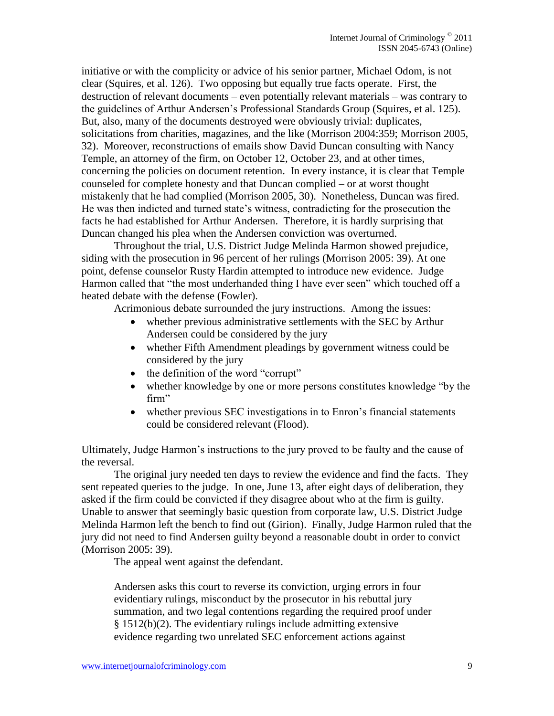initiative or with the complicity or advice of his senior partner, Michael Odom, is not clear (Squires, et al. 126). Two opposing but equally true facts operate. First, the destruction of relevant documents – even potentially relevant materials – was contrary to the guidelines of Arthur Andersen"s Professional Standards Group (Squires, et al. 125). But, also, many of the documents destroyed were obviously trivial: duplicates, solicitations from charities, magazines, and the like (Morrison 2004:359; Morrison 2005, 32). Moreover, reconstructions of emails show David Duncan consulting with Nancy Temple, an attorney of the firm, on October 12, October 23, and at other times, concerning the policies on document retention. In every instance, it is clear that Temple counseled for complete honesty and that Duncan complied – or at worst thought mistakenly that he had complied (Morrison 2005, 30). Nonetheless, Duncan was fired. He was then indicted and turned state"s witness, contradicting for the prosecution the facts he had established for Arthur Andersen. Therefore, it is hardly surprising that Duncan changed his plea when the Andersen conviction was overturned.

Throughout the trial, U.S. District Judge Melinda Harmon showed prejudice, siding with the prosecution in 96 percent of her rulings (Morrison 2005: 39). At one point, defense counselor Rusty Hardin attempted to introduce new evidence. Judge Harmon called that "the most underhanded thing I have ever seen" which touched off a heated debate with the defense (Fowler).

Acrimonious debate surrounded the jury instructions. Among the issues:

- whether previous administrative settlements with the SEC by Arthur Andersen could be considered by the jury
- whether Fifth Amendment pleadings by government witness could be considered by the jury
- the definition of the word "corrupt"
- whether knowledge by one or more persons constitutes knowledge "by the firm"
- whether previous SEC investigations in to Enron's financial statements could be considered relevant (Flood).

Ultimately, Judge Harmon"s instructions to the jury proved to be faulty and the cause of the reversal.

The original jury needed ten days to review the evidence and find the facts. They sent repeated queries to the judge. In one, June 13, after eight days of deliberation, they asked if the firm could be convicted if they disagree about who at the firm is guilty. Unable to answer that seemingly basic question from corporate law, U.S. District Judge Melinda Harmon left the bench to find out (Girion). Finally, Judge Harmon ruled that the jury did not need to find Andersen guilty beyond a reasonable doubt in order to convict (Morrison 2005: 39).

The appeal went against the defendant.

Andersen asks this court to reverse its conviction, urging errors in four evidentiary rulings, misconduct by the prosecutor in his rebuttal jury summation, and two legal contentions regarding the required proof under § 1512(b)(2). The evidentiary rulings include admitting extensive evidence regarding two unrelated SEC enforcement actions against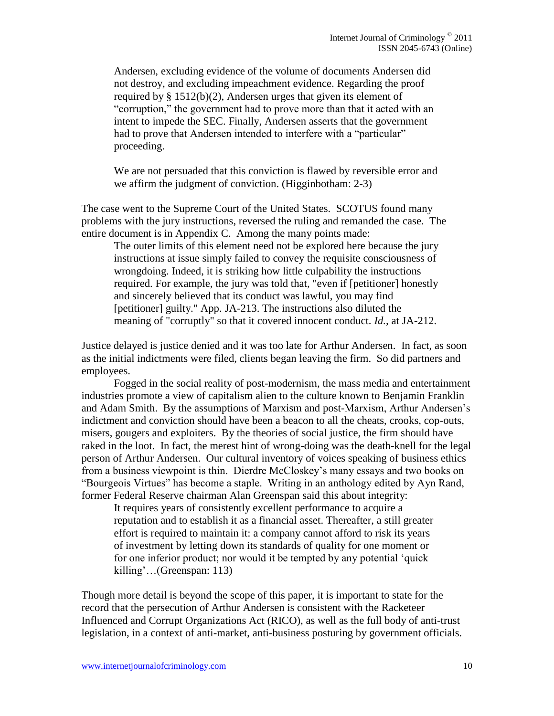Andersen, excluding evidence of the volume of documents Andersen did not destroy, and excluding impeachment evidence. Regarding the proof required by § 1512(b)(2), Andersen urges that given its element of "corruption," the government had to prove more than that it acted with an intent to impede the SEC. Finally, Andersen asserts that the government had to prove that Andersen intended to interfere with a "particular" proceeding.

We are not persuaded that this conviction is flawed by reversible error and we affirm the judgment of conviction. (Higginbotham: 2-3)

The case went to the Supreme Court of the United States. SCOTUS found many problems with the jury instructions, reversed the ruling and remanded the case. The entire document is in Appendix C. Among the many points made:

The outer limits of this element need not be explored here because the jury instructions at issue simply failed to convey the requisite consciousness of wrongdoing. Indeed, it is striking how little culpability the instructions required. For example, the jury was told that, "even if [petitioner] honestly and sincerely believed that its conduct was lawful, you may find [petitioner] guilty." App. JA-213. The instructions also diluted the meaning of "corruptly" so that it covered innocent conduct. *Id.,* at JA-212.

Justice delayed is justice denied and it was too late for Arthur Andersen. In fact, as soon as the initial indictments were filed, clients began leaving the firm. So did partners and employees.

Fogged in the social reality of post-modernism, the mass media and entertainment industries promote a view of capitalism alien to the culture known to Benjamin Franklin and Adam Smith. By the assumptions of Marxism and post-Marxism, Arthur Andersen"s indictment and conviction should have been a beacon to all the cheats, crooks, cop-outs, misers, gougers and exploiters. By the theories of social justice, the firm should have raked in the loot. In fact, the merest hint of wrong-doing was the death-knell for the legal person of Arthur Andersen. Our cultural inventory of voices speaking of business ethics from a business viewpoint is thin. Dierdre McCloskey"s many essays and two books on "Bourgeois Virtues" has become a staple. Writing in an anthology edited by Ayn Rand, former Federal Reserve chairman Alan Greenspan said this about integrity:

It requires years of consistently excellent performance to acquire a reputation and to establish it as a financial asset. Thereafter, a still greater effort is required to maintain it: a company cannot afford to risk its years of investment by letting down its standards of quality for one moment or for one inferior product; nor would it be tempted by any potential "quick killing"…(Greenspan: 113)

Though more detail is beyond the scope of this paper, it is important to state for the record that the persecution of Arthur Andersen is consistent with the Racketeer Influenced and Corrupt Organizations Act (RICO), as well as the full body of anti-trust legislation, in a context of anti-market, anti-business posturing by government officials.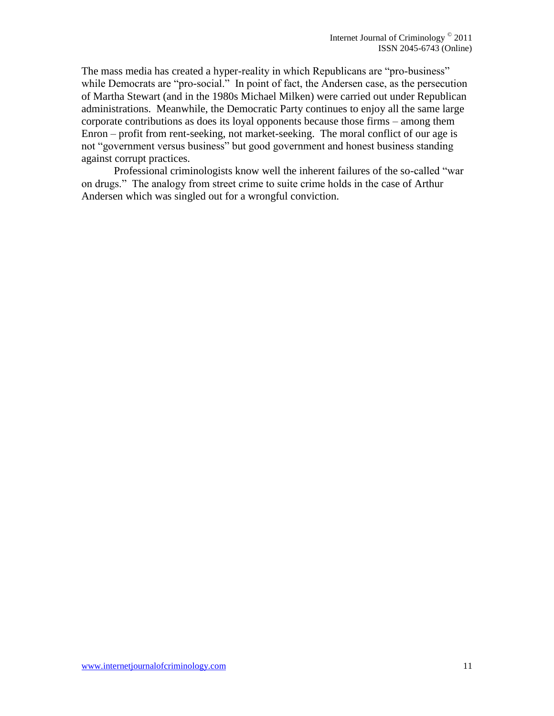The mass media has created a hyper-reality in which Republicans are "pro-business" while Democrats are "pro-social." In point of fact, the Andersen case, as the persecution of Martha Stewart (and in the 1980s Michael Milken) were carried out under Republican administrations. Meanwhile, the Democratic Party continues to enjoy all the same large corporate contributions as does its loyal opponents because those firms – among them Enron – profit from rent-seeking, not market-seeking. The moral conflict of our age is not "government versus business" but good government and honest business standing against corrupt practices.

Professional criminologists know well the inherent failures of the so-called "war on drugs." The analogy from street crime to suite crime holds in the case of Arthur Andersen which was singled out for a wrongful conviction.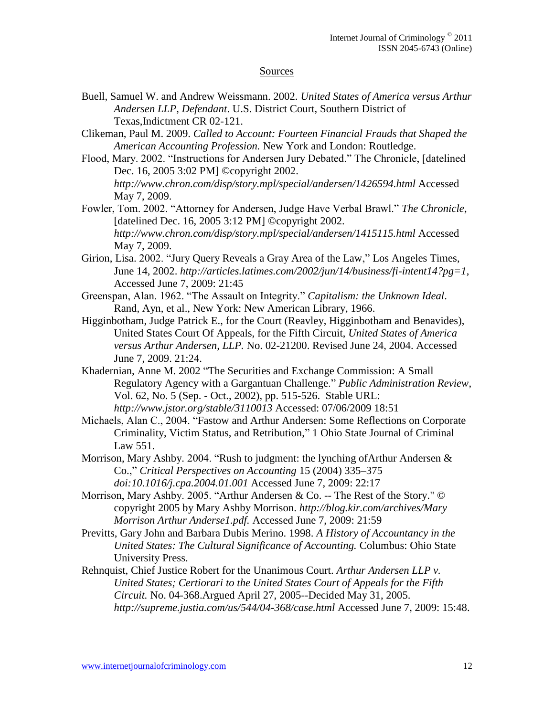#### Sources

- Buell, Samuel W. and Andrew Weissmann. 2002. *United States of America versus Arthur Andersen LLP, Defendant*. U.S. District Court, Southern District of Texas,Indictment CR 02-121.
- Clikeman, Paul M. 2009. *Called to Account: Fourteen Financial Frauds that Shaped the American Accounting Profession.* New York and London: Routledge.
- Flood, Mary. 2002. "Instructions for Andersen Jury Debated." The Chronicle, [datelined Dec. 16, 2005 3:02 PM] ©copyright 2002. *http://www.chron.com/disp/story.mpl/special/andersen/1426594.html* Accessed May 7, 2009.
- Fowler, Tom. 2002. "Attorney for Andersen, Judge Have Verbal Brawl." *The Chronicle*, [datelined Dec. 16, 2005 3:12 PM] ©copyright 2002. *http://www.chron.com/disp/story.mpl/special/andersen/1415115.html* Accessed May 7, 2009.
- Girion, Lisa. 2002. "Jury Query Reveals a Gray Area of the Law," Los Angeles Times, June 14, 2002. *http://articles.latimes.com/2002/jun/14/business/fi-intent14?pg=1*, Accessed June 7, 2009: 21:45
- Greenspan, Alan. 1962. "The Assault on Integrity." *Capitalism: the Unknown Ideal*. Rand, Ayn, et al., New York: New American Library, 1966.
- Higginbotham, Judge Patrick E., for the Court (Reavley, Higginbotham and Benavides), United States Court Of Appeals, for the Fifth Circuit, *United States of America versus Arthur Andersen, LLP.* No. 02-21200. Revised June 24, 2004. Accessed June 7, 2009. 21:24.
- Khadernian, Anne M. 2002 "The Securities and Exchange Commission: A Small Regulatory Agency with a Gargantuan Challenge." *Public Administration Review*, Vol. 62, No. 5 (Sep. - Oct., 2002), pp. 515-526. Stable URL: *http://www.jstor.org/stable/3110013* Accessed: 07/06/2009 18:51
- Michaels, Alan C., 2004. "Fastow and Arthur Andersen: Some Reflections on Corporate Criminality, Victim Status, and Retribution," 1 Ohio State Journal of Criminal Law 551.
- Morrison, Mary Ashby. 2004. "Rush to judgment: the lynching of Arthur Andersen  $\&$ Co.," *Critical Perspectives on Accounting* 15 (2004) 335–375 *doi:10.1016/j.cpa.2004.01.001* Accessed June 7, 2009: 22:17
- Morrison, Mary Ashby. 2005. "Arthur Andersen & Co. -- The Rest of the Story." © copyright 2005 by Mary Ashby Morrison. *http://blog.kir.com/archives/Mary Morrison Arthur Anderse1.pdf.* Accessed June 7, 2009: 21:59
- Previtts, Gary John and Barbara Dubis Merino. 1998. *A History of Accountancy in the United States: The Cultural Significance of Accounting.* Columbus: Ohio State University Press.
- Rehnquist, Chief Justice Robert for the Unanimous Court. *Arthur Andersen LLP v. United States; Certiorari to the United States Court of Appeals for the Fifth Circuit.* No. 04-368.Argued April 27, 2005--Decided May 31, 2005. *http://supreme.justia.com/us/544/04-368/case.html* Accessed June 7, 2009: 15:48.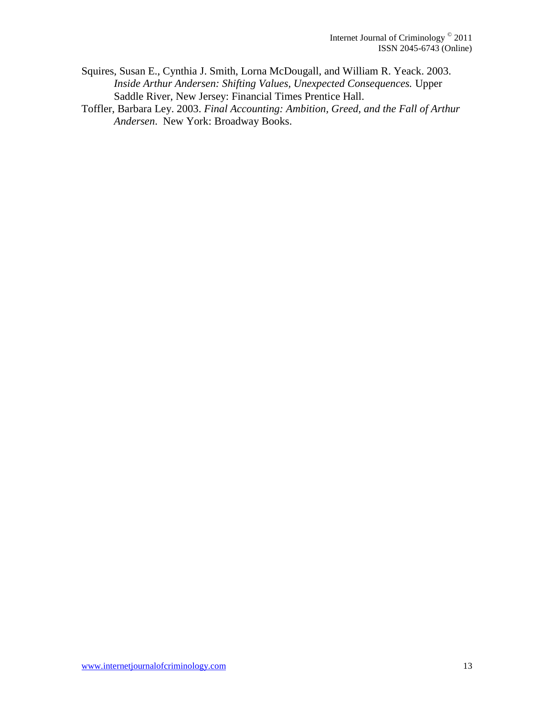- Squires, Susan E., Cynthia J. Smith, Lorna McDougall, and William R. Yeack. 2003. *Inside Arthur Andersen: Shifting Values, Unexpected Consequences.* Upper Saddle River, New Jersey: Financial Times Prentice Hall.
- Toffler, Barbara Ley. 2003. *Final Accounting: Ambition, Greed, and the Fall of Arthur Andersen*. New York: Broadway Books.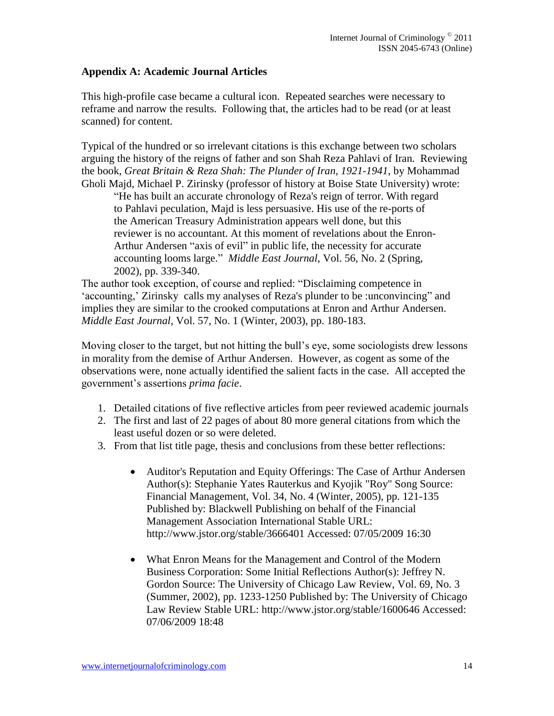## **Appendix A: Academic Journal Articles**

This high-profile case became a cultural icon. Repeated searches were necessary to reframe and narrow the results. Following that, the articles had to be read (or at least scanned) for content.

Typical of the hundred or so irrelevant citations is this exchange between two scholars arguing the history of the reigns of father and son Shah Reza Pahlavi of Iran. Reviewing the book, *Great Britain & Reza Shah: The Plunder of Iran, 1921-1941*, by Mohammad Gholi Majd, Michael P. Zirinsky (professor of history at Boise State University) wrote:

"He has built an accurate chronology of Reza's reign of terror. With regard to Pahlavi peculation, Majd is less persuasive. His use of the re-ports of the American Treasury Administration appears well done, but this reviewer is no accountant. At this moment of revelations about the Enron-Arthur Andersen "axis of evil" in public life, the necessity for accurate accounting looms large." *Middle East Journal*, Vol. 56, No. 2 (Spring, 2002), pp. 339-340.

The author took exception, of course and replied: "Disclaiming competence in 'accounting,' Zirinsky calls my analyses of Reza's plunder to be :unconvincing" and implies they are similar to the crooked computations at Enron and Arthur Andersen. *Middle East Journal,* Vol. 57, No. 1 (Winter, 2003), pp. 180-183.

Moving closer to the target, but not hitting the bull"s eye, some sociologists drew lessons in morality from the demise of Arthur Andersen. However, as cogent as some of the observations were, none actually identified the salient facts in the case. All accepted the government"s assertions *prima facie*.

- 1. Detailed citations of five reflective articles from peer reviewed academic journals
- 2. The first and last of 22 pages of about 80 more general citations from which the least useful dozen or so were deleted.
- 3. From that list title page, thesis and conclusions from these better reflections:
	- Auditor's Reputation and Equity Offerings: The Case of Arthur Andersen Author(s): Stephanie Yates Rauterkus and Kyojik "Roy" Song Source: Financial Management, Vol. 34, No. 4 (Winter, 2005), pp. 121-135 Published by: Blackwell Publishing on behalf of the Financial Management Association International Stable URL: http://www.jstor.org/stable/3666401 Accessed: 07/05/2009 16:30
	- What Enron Means for the Management and Control of the Modern Business Corporation: Some Initial Reflections Author(s): Jeffrey N. Gordon Source: The University of Chicago Law Review, Vol. 69, No. 3 (Summer, 2002), pp. 1233-1250 Published by: The University of Chicago Law Review Stable URL: http://www.jstor.org/stable/1600646 Accessed: 07/06/2009 18:48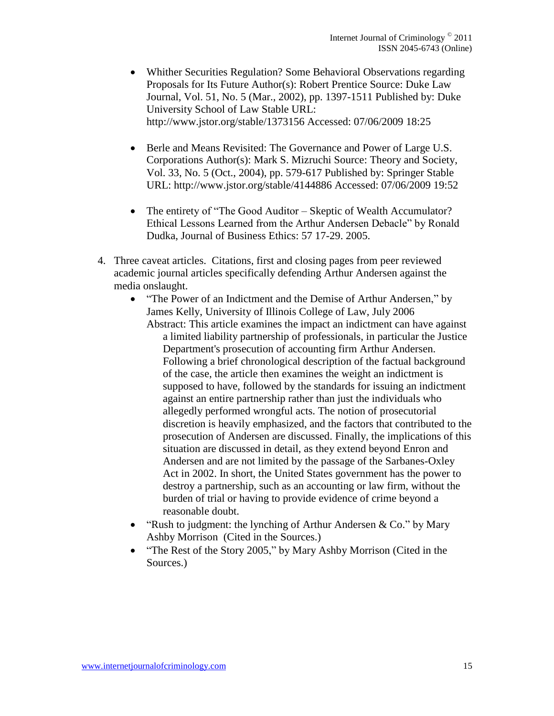- Whither Securities Regulation? Some Behavioral Observations regarding Proposals for Its Future Author(s): Robert Prentice Source: Duke Law Journal, Vol. 51, No. 5 (Mar., 2002), pp. 1397-1511 Published by: Duke University School of Law Stable URL: http://www.jstor.org/stable/1373156 Accessed: 07/06/2009 18:25
- Berle and Means Revisited: The Governance and Power of Large U.S. Corporations Author(s): Mark S. Mizruchi Source: Theory and Society, Vol. 33, No. 5 (Oct., 2004), pp. 579-617 Published by: Springer Stable URL: http://www.jstor.org/stable/4144886 Accessed: 07/06/2009 19:52
- The entirety of "The Good Auditor Skeptic of Wealth Accumulator? Ethical Lessons Learned from the Arthur Andersen Debacle" by Ronald Dudka, Journal of Business Ethics: 57 17-29. 2005.
- 4. Three caveat articles. Citations, first and closing pages from peer reviewed academic journal articles specifically defending Arthur Andersen against the media onslaught.
	- "The Power of an Indictment and the Demise of Arthur Andersen," by James Kelly, University of Illinois College of Law, July 2006 Abstract: This article examines the impact an indictment can have against a limited liability partnership of professionals, in particular the Justice Department's prosecution of accounting firm Arthur Andersen. Following a brief chronological description of the factual background of the case, the article then examines the weight an indictment is supposed to have, followed by the standards for issuing an indictment against an entire partnership rather than just the individuals who allegedly performed wrongful acts. The notion of prosecutorial discretion is heavily emphasized, and the factors that contributed to the prosecution of Andersen are discussed. Finally, the implications of this situation are discussed in detail, as they extend beyond Enron and Andersen and are not limited by the passage of the Sarbanes-Oxley Act in 2002. In short, the United States government has the power to destroy a partnership, such as an accounting or law firm, without the burden of trial or having to provide evidence of crime beyond a reasonable doubt.
	- "Rush to judgment: the lynching of Arthur Andersen & Co." by Mary Ashby Morrison (Cited in the Sources.)
	- "The Rest of the Story 2005," by Mary Ashby Morrison (Cited in the Sources.)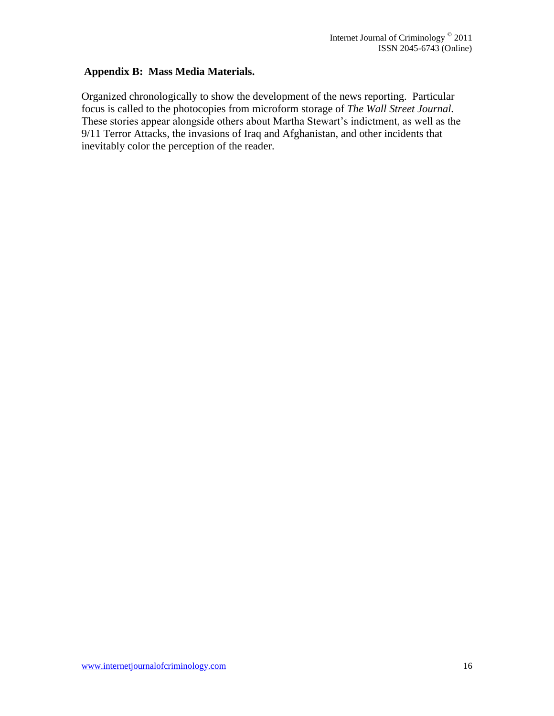## **Appendix B: Mass Media Materials.**

Organized chronologically to show the development of the news reporting. Particular focus is called to the photocopies from microform storage of *The Wall Street Journal.* These stories appear alongside others about Martha Stewart's indictment, as well as the 9/11 Terror Attacks, the invasions of Iraq and Afghanistan, and other incidents that inevitably color the perception of the reader.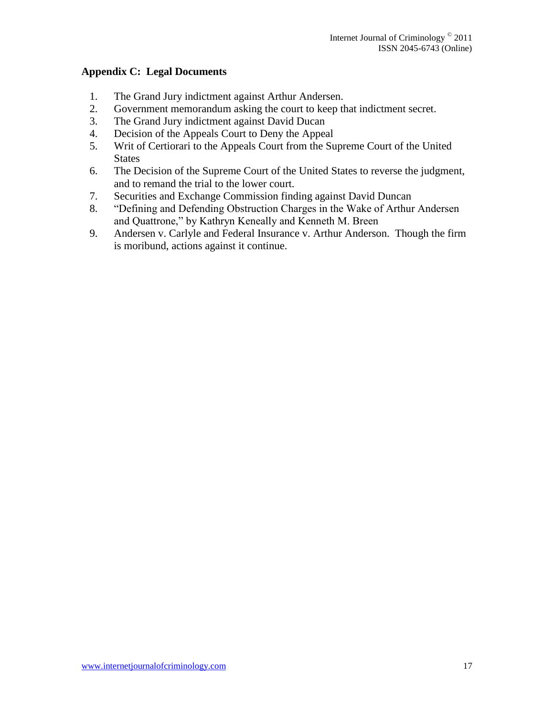## **Appendix C: Legal Documents**

- 1. The Grand Jury indictment against Arthur Andersen.
- 2. Government memorandum asking the court to keep that indictment secret.
- 3. The Grand Jury indictment against David Ducan
- 4. Decision of the Appeals Court to Deny the Appeal
- 5. Writ of Certiorari to the Appeals Court from the Supreme Court of the United States
- 6. The Decision of the Supreme Court of the United States to reverse the judgment, and to remand the trial to the lower court.
- 7. Securities and Exchange Commission finding against David Duncan
- 8. "Defining and Defending Obstruction Charges in the Wake of Arthur Andersen and Quattrone," by Kathryn Keneally and Kenneth M. Breen
- 9. Andersen v. Carlyle and Federal Insurance v. Arthur Anderson. Though the firm is moribund, actions against it continue.